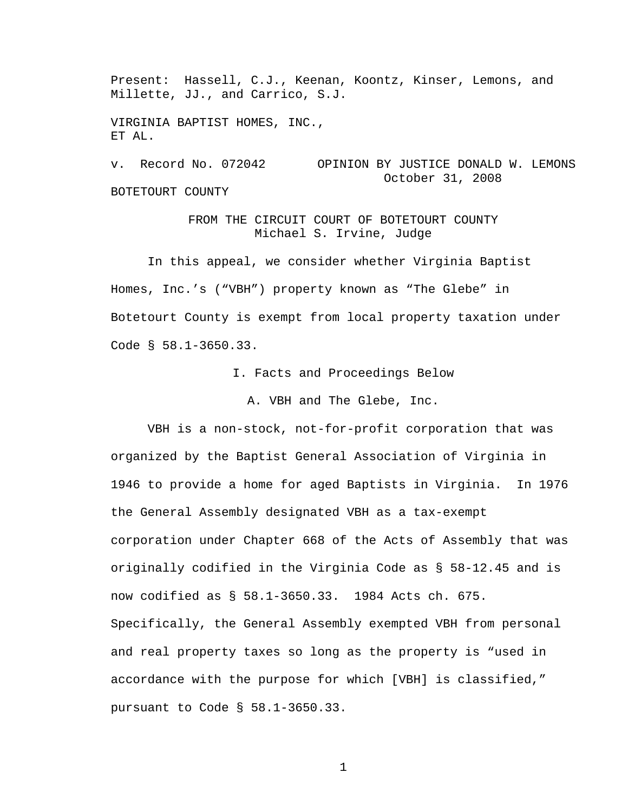Present: Hassell, C.J., Keenan, Koontz, Kinser, Lemons, and Millette, JJ., and Carrico, S.J.

VIRGINIA BAPTIST HOMES, INC., ET AL.

v. Record No. 072042 OPINION BY JUSTICE DONALD W. LEMONS October 31, 2008 BOTETOURT COUNTY

> FROM THE CIRCUIT COURT OF BOTETOURT COUNTY Michael S. Irvine, Judge

 In this appeal, we consider whether Virginia Baptist Homes, Inc.'s ("VBH") property known as "The Glebe" in Botetourt County is exempt from local property taxation under Code § 58.1-3650.33.

I. Facts and Proceedings Below

A. VBH and The Glebe, Inc.

 VBH is a non-stock, not-for-profit corporation that was organized by the Baptist General Association of Virginia in 1946 to provide a home for aged Baptists in Virginia. In 1976 the General Assembly designated VBH as a tax-exempt corporation under Chapter 668 of the Acts of Assembly that was originally codified in the Virginia Code as § 58-12.45 and is now codified as § 58.1-3650.33. 1984 Acts ch. 675. Specifically, the General Assembly exempted VBH from personal and real property taxes so long as the property is "used in accordance with the purpose for which [VBH] is classified," pursuant to Code § 58.1-3650.33.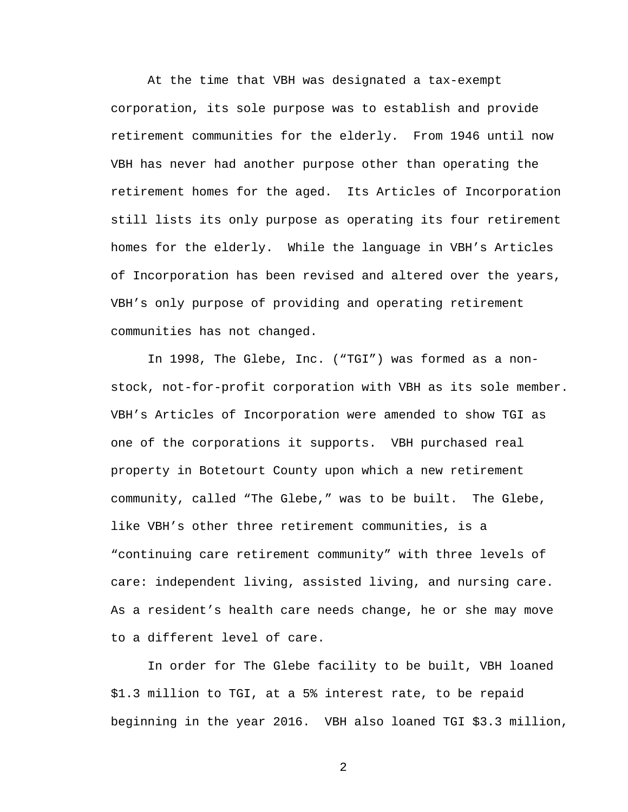At the time that VBH was designated a tax-exempt corporation, its sole purpose was to establish and provide retirement communities for the elderly. From 1946 until now VBH has never had another purpose other than operating the retirement homes for the aged. Its Articles of Incorporation still lists its only purpose as operating its four retirement homes for the elderly. While the language in VBH's Articles of Incorporation has been revised and altered over the years, VBH's only purpose of providing and operating retirement communities has not changed.

 In 1998, The Glebe, Inc. ("TGI") was formed as a nonstock, not-for-profit corporation with VBH as its sole member. VBH's Articles of Incorporation were amended to show TGI as one of the corporations it supports. VBH purchased real property in Botetourt County upon which a new retirement community, called "The Glebe," was to be built. The Glebe, like VBH's other three retirement communities, is a "continuing care retirement community" with three levels of care: independent living, assisted living, and nursing care. As a resident's health care needs change, he or she may move to a different level of care.

In order for The Glebe facility to be built, VBH loaned \$1.3 million to TGI, at a 5% interest rate, to be repaid beginning in the year 2016. VBH also loaned TGI \$3.3 million,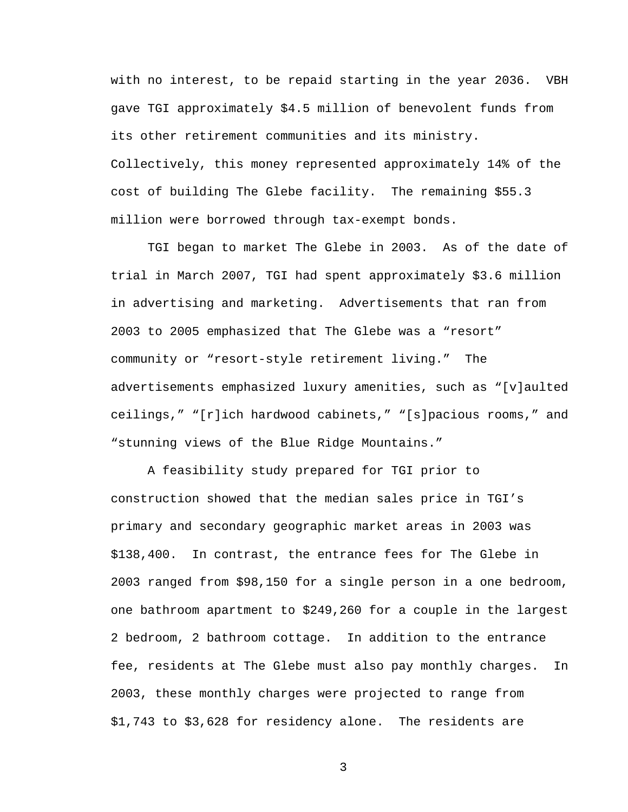with no interest, to be repaid starting in the year 2036. VBH gave TGI approximately \$4.5 million of benevolent funds from its other retirement communities and its ministry. Collectively, this money represented approximately 14% of the cost of building The Glebe facility. The remaining \$55.3 million were borrowed through tax-exempt bonds.

 TGI began to market The Glebe in 2003. As of the date of trial in March 2007, TGI had spent approximately \$3.6 million in advertising and marketing. Advertisements that ran from 2003 to 2005 emphasized that The Glebe was a "resort" community or "resort-style retirement living." The advertisements emphasized luxury amenities, such as "[v]aulted ceilings," "[r]ich hardwood cabinets," "[s]pacious rooms," and "stunning views of the Blue Ridge Mountains."

A feasibility study prepared for TGI prior to construction showed that the median sales price in TGI's primary and secondary geographic market areas in 2003 was \$138,400. In contrast, the entrance fees for The Glebe in 2003 ranged from \$98,150 for a single person in a one bedroom, one bathroom apartment to \$249,260 for a couple in the largest 2 bedroom, 2 bathroom cottage. In addition to the entrance fee, residents at The Glebe must also pay monthly charges. In 2003, these monthly charges were projected to range from \$1,743 to \$3,628 for residency alone. The residents are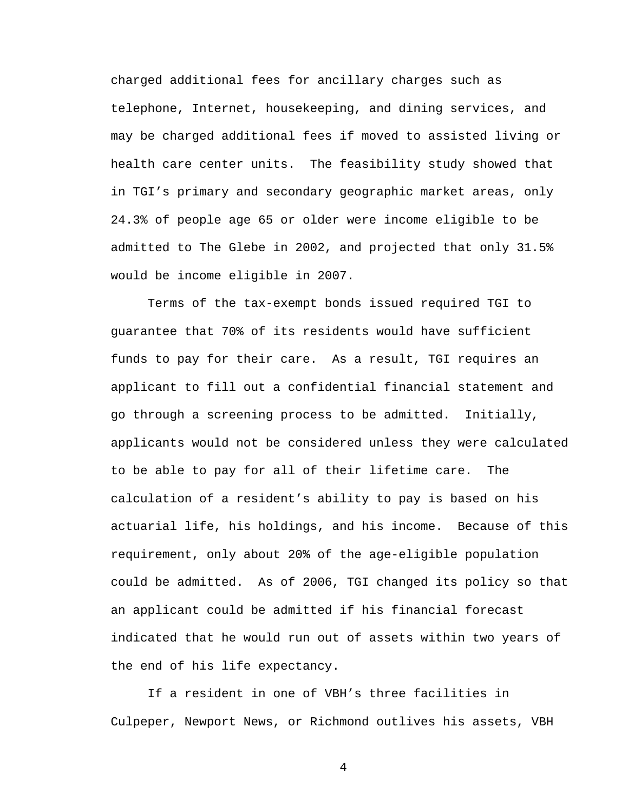charged additional fees for ancillary charges such as telephone, Internet, housekeeping, and dining services, and may be charged additional fees if moved to assisted living or health care center units. The feasibility study showed that in TGI's primary and secondary geographic market areas, only 24.3% of people age 65 or older were income eligible to be admitted to The Glebe in 2002, and projected that only 31.5% would be income eligible in 2007.

 Terms of the tax-exempt bonds issued required TGI to guarantee that 70% of its residents would have sufficient funds to pay for their care. As a result, TGI requires an applicant to fill out a confidential financial statement and go through a screening process to be admitted. Initially, applicants would not be considered unless they were calculated to be able to pay for all of their lifetime care. The calculation of a resident's ability to pay is based on his actuarial life, his holdings, and his income. Because of this requirement, only about 20% of the age-eligible population could be admitted. As of 2006, TGI changed its policy so that an applicant could be admitted if his financial forecast indicated that he would run out of assets within two years of the end of his life expectancy.

 If a resident in one of VBH's three facilities in Culpeper, Newport News, or Richmond outlives his assets, VBH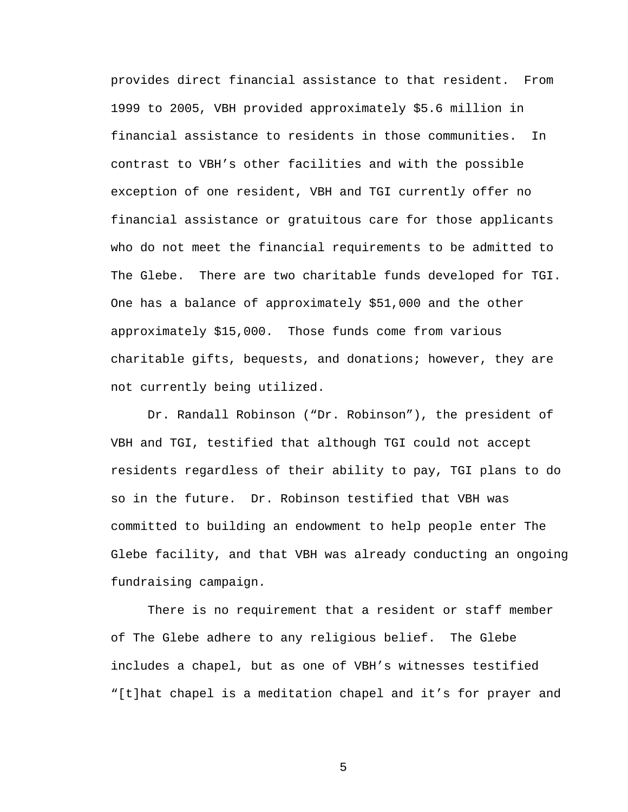provides direct financial assistance to that resident. From 1999 to 2005, VBH provided approximately \$5.6 million in financial assistance to residents in those communities. In contrast to VBH's other facilities and with the possible exception of one resident, VBH and TGI currently offer no financial assistance or gratuitous care for those applicants who do not meet the financial requirements to be admitted to The Glebe. There are two charitable funds developed for TGI. One has a balance of approximately \$51,000 and the other approximately \$15,000. Those funds come from various charitable gifts, bequests, and donations; however, they are not currently being utilized.

 Dr. Randall Robinson ("Dr. Robinson"), the president of VBH and TGI, testified that although TGI could not accept residents regardless of their ability to pay, TGI plans to do so in the future. Dr. Robinson testified that VBH was committed to building an endowment to help people enter The Glebe facility, and that VBH was already conducting an ongoing fundraising campaign.

There is no requirement that a resident or staff member of The Glebe adhere to any religious belief. The Glebe includes a chapel, but as one of VBH's witnesses testified "[t]hat chapel is a meditation chapel and it's for prayer and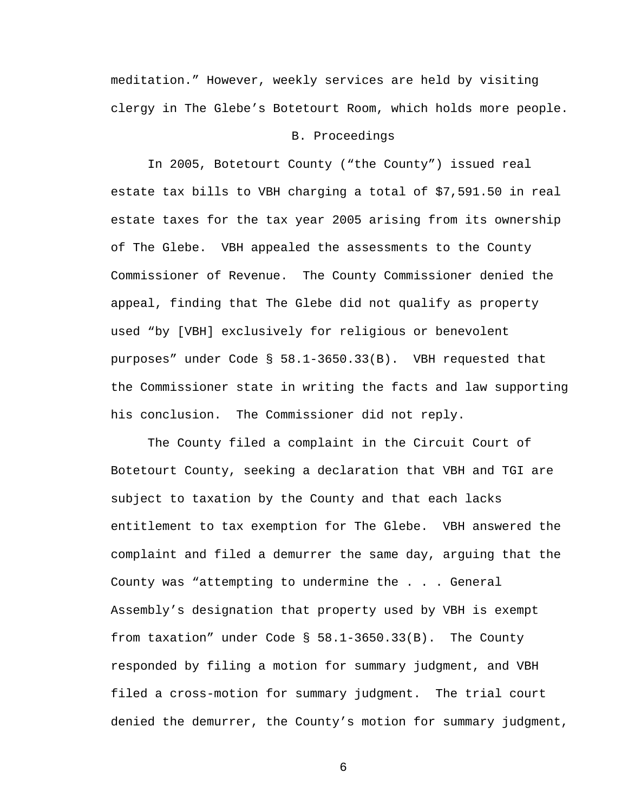meditation." However, weekly services are held by visiting clergy in The Glebe's Botetourt Room, which holds more people.

## B. Proceedings

 In 2005, Botetourt County ("the County") issued real estate tax bills to VBH charging a total of \$7,591.50 in real estate taxes for the tax year 2005 arising from its ownership of The Glebe. VBH appealed the assessments to the County Commissioner of Revenue. The County Commissioner denied the appeal, finding that The Glebe did not qualify as property used "by [VBH] exclusively for religious or benevolent purposes" under Code § 58.1-3650.33(B). VBH requested that the Commissioner state in writing the facts and law supporting his conclusion. The Commissioner did not reply.

 The County filed a complaint in the Circuit Court of Botetourt County, seeking a declaration that VBH and TGI are subject to taxation by the County and that each lacks entitlement to tax exemption for The Glebe. VBH answered the complaint and filed a demurrer the same day, arguing that the County was "attempting to undermine the . . . General Assembly's designation that property used by VBH is exempt from taxation" under Code § 58.1-3650.33(B). The County responded by filing a motion for summary judgment, and VBH filed a cross-motion for summary judgment. The trial court denied the demurrer, the County's motion for summary judgment,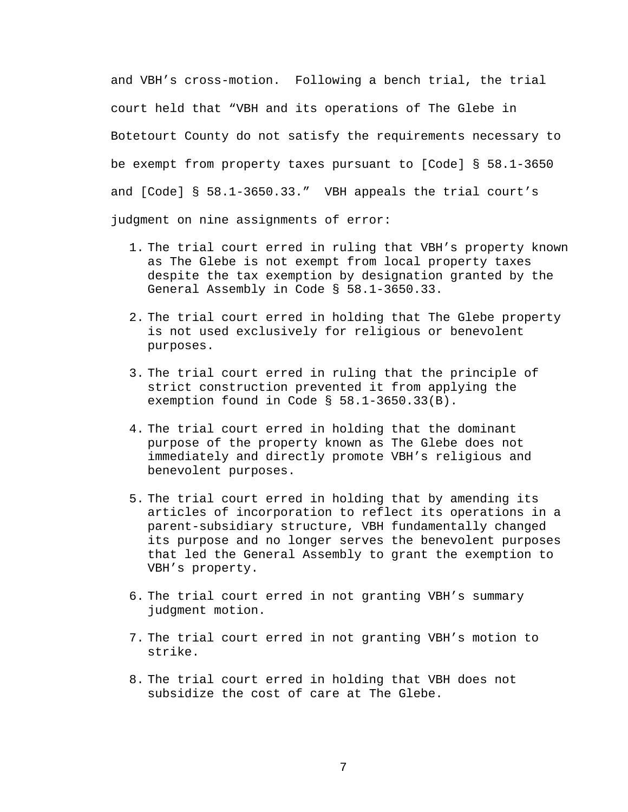and VBH's cross-motion. Following a bench trial, the trial court held that "VBH and its operations of The Glebe in Botetourt County do not satisfy the requirements necessary to be exempt from property taxes pursuant to [Code] § 58.1-3650 and [Code] § 58.1-3650.33." VBH appeals the trial court's judgment on nine assignments of error:

- 1. The trial court erred in ruling that VBH's property known as The Glebe is not exempt from local property taxes despite the tax exemption by designation granted by the General Assembly in Code § 58.1-3650.33.
- 2. The trial court erred in holding that The Glebe property is not used exclusively for religious or benevolent purposes.
- 3. The trial court erred in ruling that the principle of strict construction prevented it from applying the exemption found in Code § 58.1-3650.33(B).
- 4. The trial court erred in holding that the dominant purpose of the property known as The Glebe does not immediately and directly promote VBH's religious and benevolent purposes.
- 5. The trial court erred in holding that by amending its articles of incorporation to reflect its operations in a parent-subsidiary structure, VBH fundamentally changed its purpose and no longer serves the benevolent purposes that led the General Assembly to grant the exemption to VBH's property.
- 6. The trial court erred in not granting VBH's summary judgment motion.
- 7. The trial court erred in not granting VBH's motion to strike.
- 8. The trial court erred in holding that VBH does not subsidize the cost of care at The Glebe.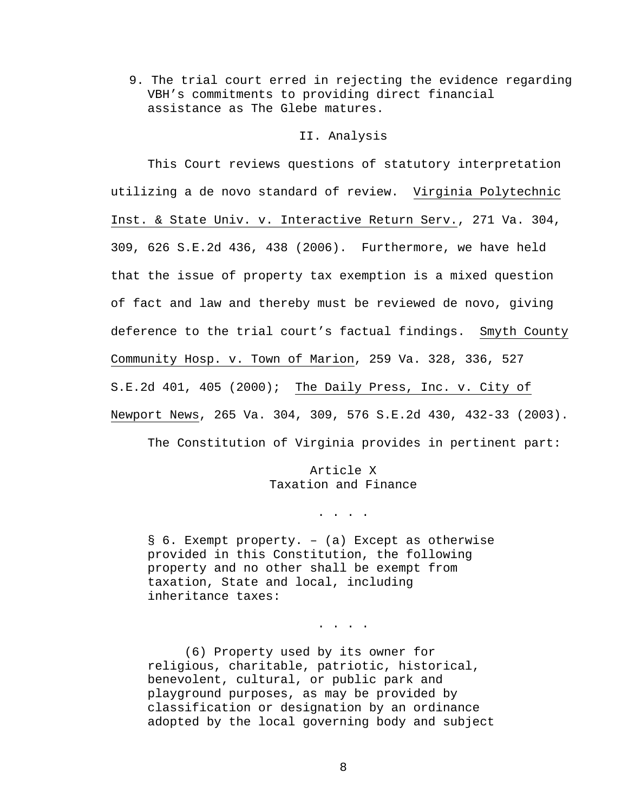9. The trial court erred in rejecting the evidence regarding VBH's commitments to providing direct financial assistance as The Glebe matures.

## II. Analysis

 This Court reviews questions of statutory interpretation utilizing a de novo standard of review. Virginia Polytechnic Inst. & State Univ. v. Interactive Return Serv., 271 Va. 304, 309, 626 S.E.2d 436, 438 (2006). Furthermore, we have held that the issue of property tax exemption is a mixed question of fact and law and thereby must be reviewed de novo, giving deference to the trial court's factual findings. Smyth County Community Hosp. v. Town of Marion, 259 Va. 328, 336, 527 S.E.2d 401, 405 (2000); The Daily Press, Inc. v. City of Newport News, 265 Va. 304, 309, 576 S.E.2d 430, 432-33 (2003).

The Constitution of Virginia provides in pertinent part:

Article X Taxation and Finance

. . . .

. . . .

§ 6. Exempt property. – (a) Except as otherwise provided in this Constitution, the following property and no other shall be exempt from taxation, State and local, including inheritance taxes:

 (6) Property used by its owner for religious, charitable, patriotic, historical, benevolent, cultural, or public park and playground purposes, as may be provided by classification or designation by an ordinance adopted by the local governing body and subject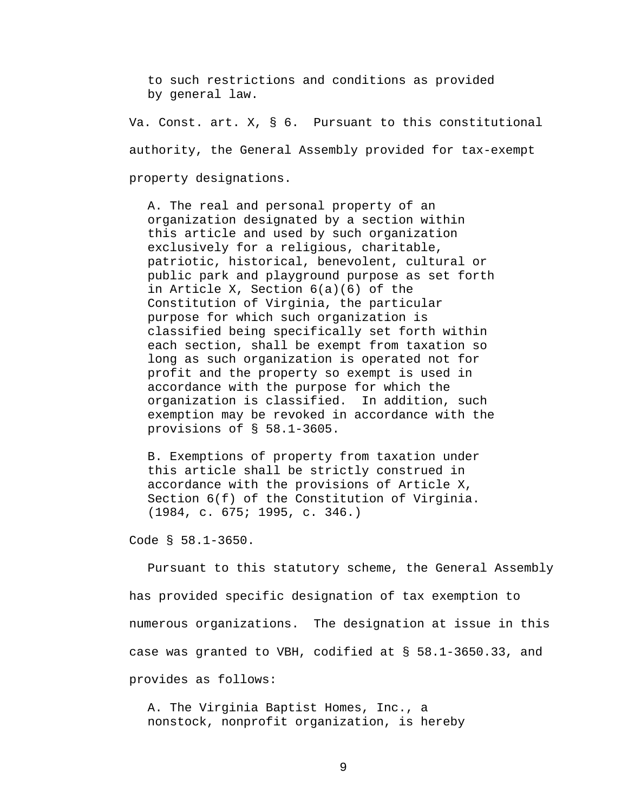to such restrictions and conditions as provided by general law.

Va. Const. art. X, § 6. Pursuant to this constitutional authority, the General Assembly provided for tax-exempt property designations.

A. The real and personal property of an organization designated by a section within this article and used by such organization exclusively for a religious, charitable, patriotic, historical, benevolent, cultural or public park and playground purpose as set forth in Article X, Section 6(a)(6) of the Constitution of Virginia, the particular purpose for which such organization is classified being specifically set forth within each section, shall be exempt from taxation so long as such organization is operated not for profit and the property so exempt is used in accordance with the purpose for which the organization is classified. In addition, such exemption may be revoked in accordance with the provisions of § 58.1-3605.

B. Exemptions of property from taxation under this article shall be strictly construed in accordance with the provisions of Article X, Section 6(f) of the Constitution of Virginia. (1984, c. 675; 1995, c. 346.)

Code § 58.1-3650.

Pursuant to this statutory scheme, the General Assembly has provided specific designation of tax exemption to numerous organizations. The designation at issue in this case was granted to VBH, codified at § 58.1-3650.33, and provides as follows:

A. The Virginia Baptist Homes, Inc., a nonstock, nonprofit organization, is hereby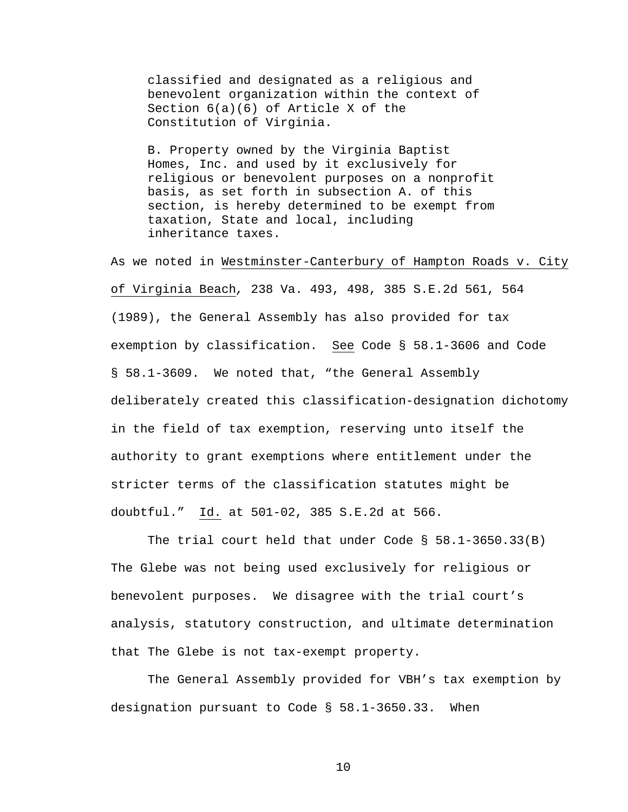classified and designated as a religious and benevolent organization within the context of Section 6(a)(6) of Article X of the Constitution of Virginia.

B. Property owned by the Virginia Baptist Homes, Inc. and used by it exclusively for religious or benevolent purposes on a nonprofit basis, as set forth in subsection A. of this section, is hereby determined to be exempt from taxation, State and local, including inheritance taxes.

As we noted in Westminster-Canterbury of Hampton Roads v. City of Virginia Beach*,* 238 Va. 493, 498, 385 S.E.2d 561, 564 (1989), the General Assembly has also provided for tax exemption by classification. See Code § 58.1-3606 and Code § 58.1-3609. We noted that, "the General Assembly deliberately created this classification-designation dichotomy in the field of tax exemption, reserving unto itself the authority to grant exemptions where entitlement under the stricter terms of the classification statutes might be doubtful." Id. at 501-02, 385 S.E.2d at 566.

The trial court held that under Code § 58.1-3650.33(B) The Glebe was not being used exclusively for religious or benevolent purposes. We disagree with the trial court's analysis, statutory construction, and ultimate determination that The Glebe is not tax-exempt property.

The General Assembly provided for VBH's tax exemption by designation pursuant to Code § 58.1-3650.33. When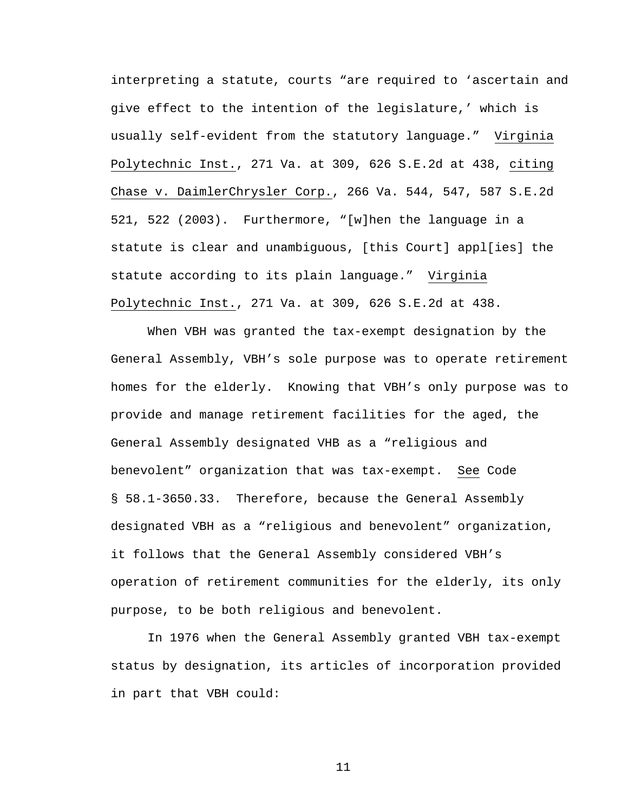interpreting a statute, courts "are required to 'ascertain and give effect to the intention of the legislature,' which is usually self-evident from the statutory language." Virginia Polytechnic Inst., 271 Va. at 309, 626 S.E.2d at 438, citing Chase v. DaimlerChrysler Corp., 266 Va. 544, 547, 587 S.E.2d 521, 522 (2003). Furthermore, "[w]hen the language in a statute is clear and unambiguous, [this Court] appl[ies] the statute according to its plain language." Virginia Polytechnic Inst., 271 Va. at 309, 626 S.E.2d at 438.

When VBH was granted the tax-exempt designation by the General Assembly, VBH's sole purpose was to operate retirement homes for the elderly. Knowing that VBH's only purpose was to provide and manage retirement facilities for the aged, the General Assembly designated VHB as a "religious and benevolent" organization that was tax-exempt. See Code § 58.1-3650.33. Therefore, because the General Assembly designated VBH as a "religious and benevolent" organization, it follows that the General Assembly considered VBH's operation of retirement communities for the elderly, its only purpose, to be both religious and benevolent.

In 1976 when the General Assembly granted VBH tax-exempt status by designation, its articles of incorporation provided in part that VBH could: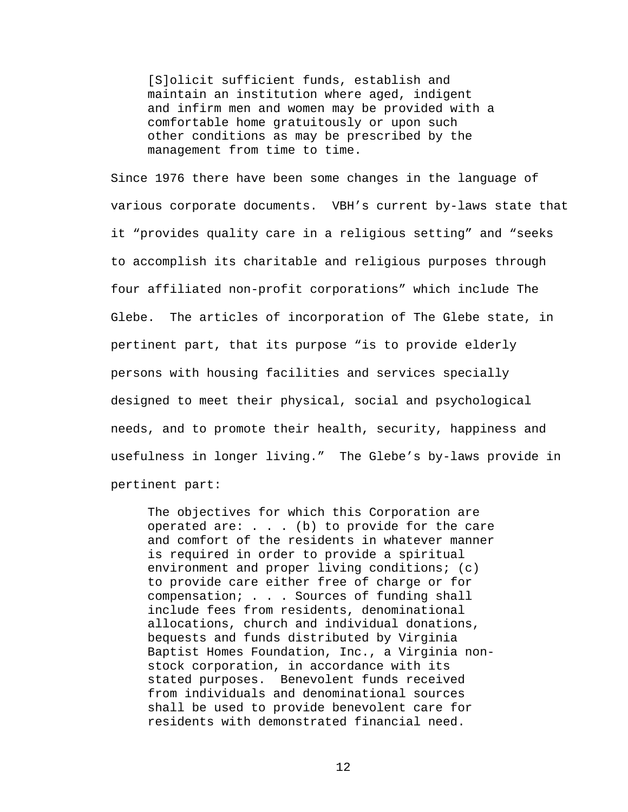[S]olicit sufficient funds, establish and maintain an institution where aged, indigent and infirm men and women may be provided with a comfortable home gratuitously or upon such other conditions as may be prescribed by the management from time to time.

Since 1976 there have been some changes in the language of various corporate documents. VBH's current by-laws state that it "provides quality care in a religious setting" and "seeks to accomplish its charitable and religious purposes through four affiliated non-profit corporations" which include The Glebe. The articles of incorporation of The Glebe state, in pertinent part, that its purpose "is to provide elderly persons with housing facilities and services specially designed to meet their physical, social and psychological needs, and to promote their health, security, happiness and usefulness in longer living." The Glebe's by-laws provide in pertinent part:

The objectives for which this Corporation are operated are:  $\ldots$  . (b) to provide for the care and comfort of the residents in whatever manner is required in order to provide a spiritual environment and proper living conditions; (c) to provide care either free of charge or for compensation; . . . Sources of funding shall include fees from residents, denominational allocations, church and individual donations, bequests and funds distributed by Virginia Baptist Homes Foundation, Inc., a Virginia nonstock corporation, in accordance with its stated purposes. Benevolent funds received from individuals and denominational sources shall be used to provide benevolent care for residents with demonstrated financial need.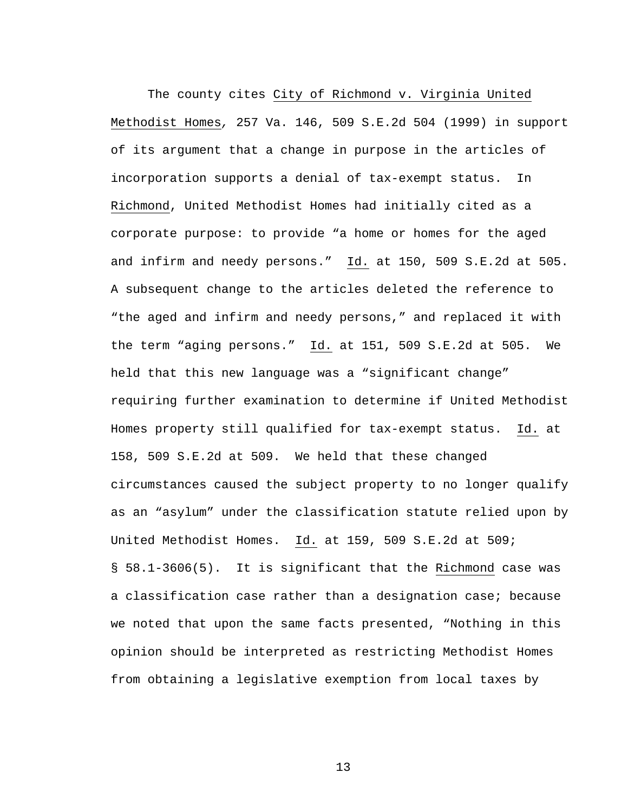The county cites City of Richmond v. Virginia United Methodist Homes*,* 257 Va. 146, 509 S.E.2d 504 (1999) in support of its argument that a change in purpose in the articles of incorporation supports a denial of tax-exempt status. In Richmond, United Methodist Homes had initially cited as a corporate purpose: to provide "a home or homes for the aged and infirm and needy persons." Id. at 150, 509 S.E.2d at 505. A subsequent change to the articles deleted the reference to "the aged and infirm and needy persons," and replaced it with the term "aging persons." Id. at 151, 509 S.E.2d at 505. We held that this new language was a "significant change" requiring further examination to determine if United Methodist Homes property still qualified for tax-exempt status. Id. at 158, 509 S.E.2d at 509. We held that these changed circumstances caused the subject property to no longer qualify as an "asylum" under the classification statute relied upon by United Methodist Homes. Id. at 159, 509 S.E.2d at 509; § 58.1-3606(5). It is significant that the Richmond case was a classification case rather than a designation case; because we noted that upon the same facts presented, "Nothing in this opinion should be interpreted as restricting Methodist Homes from obtaining a legislative exemption from local taxes by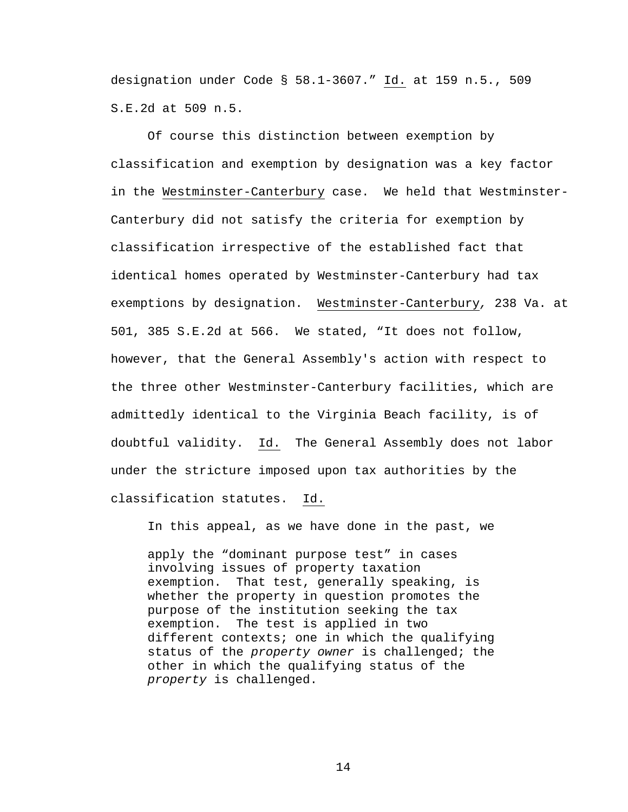designation under Code § 58.1-3607." Id. at 159 n.5., 509 S.E.2d at 509 n.5.

 Of course this distinction between exemption by classification and exemption by designation was a key factor in the Westminster-Canterbury case. We held that Westminster-Canterbury did not satisfy the criteria for exemption by classification irrespective of the established fact that identical homes operated by Westminster-Canterbury had tax exemptions by designation. Westminster-Canterbury*,* 238 Va. at 501, 385 S.E.2d at 566. We stated, "It does not follow, however, that the General Assembly's action with respect to the three other Westminster-Canterbury facilities, which are admittedly identical to the Virginia Beach facility, is of doubtful validity. Id. The General Assembly does not labor under the stricture imposed upon tax authorities by the classification statutes. Id.

In this appeal, as we have done in the past, we

apply the "dominant purpose test" in cases involving issues of property taxation exemption. That test, generally speaking, is whether the property in question promotes the purpose of the institution seeking the tax exemption. The test is applied in two different contexts; one in which the qualifying status of the *property owner* is challenged; the other in which the qualifying status of the *property* is challenged.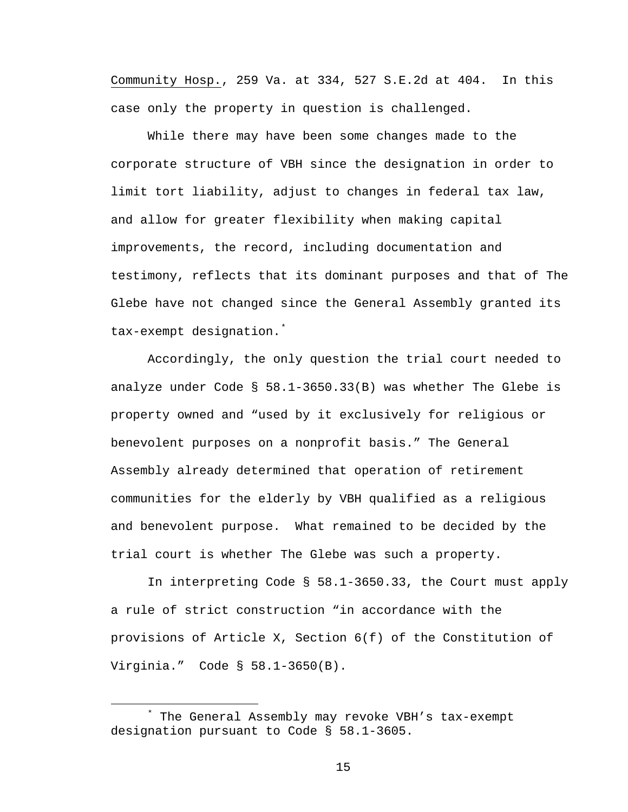Community Hosp., 259 Va. at 334, 527 S.E.2d at 404. In this case only the property in question is challenged.

While there may have been some changes made to the corporate structure of VBH since the designation in order to limit tort liability, adjust to changes in federal tax law, and allow for greater flexibility when making capital improvements, the record, including documentation and testimony, reflects that its dominant purposes and that of The Glebe have not changed since the General Assembly granted its tax-exempt designation.[\\*](#page-14-0)

Accordingly, the only question the trial court needed to analyze under Code § 58.1-3650.33(B) was whether The Glebe is property owned and "used by it exclusively for religious or benevolent purposes on a nonprofit basis." The General Assembly already determined that operation of retirement communities for the elderly by VBH qualified as a religious and benevolent purpose. What remained to be decided by the trial court is whether The Glebe was such a property.

In interpreting Code § 58.1-3650.33, the Court must apply a rule of strict construction "in accordance with the provisions of Article X, Section 6(f) of the Constitution of Virginia." Code § 58.1-3650(B).

<span id="page-14-0"></span> $\overline{\phantom{a}}$  The General Assembly may revoke VBH's tax-exempt designation pursuant to Code § 58.1-3605.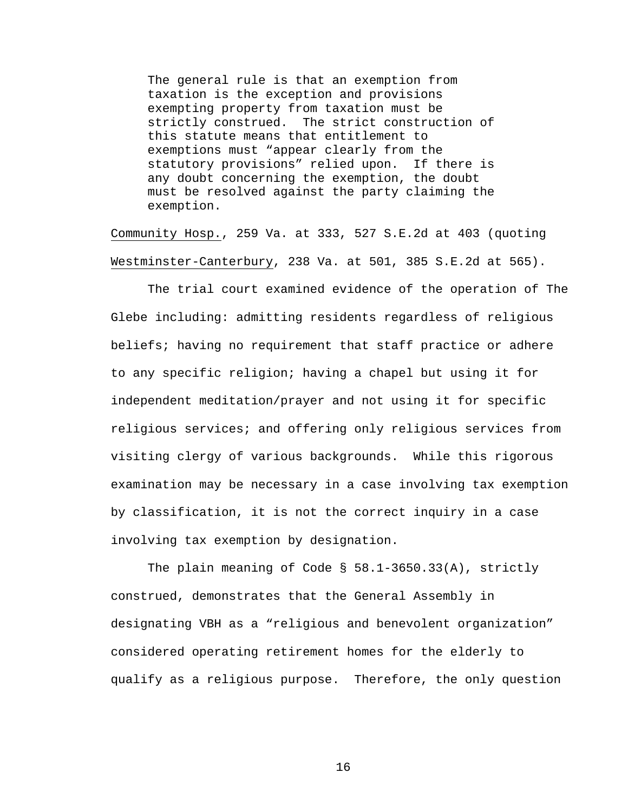The general rule is that an exemption from taxation is the exception and provisions exempting property from taxation must be strictly construed. The strict construction of this statute means that entitlement to exemptions must "appear clearly from the statutory provisions" relied upon. If there is any doubt concerning the exemption, the doubt must be resolved against the party claiming the exemption.

Community Hosp., 259 Va. at 333, 527 S.E.2d at 403 (quoting Westminster-Canterbury, 238 Va. at 501, 385 S.E.2d at 565).

The trial court examined evidence of the operation of The Glebe including: admitting residents regardless of religious beliefs; having no requirement that staff practice or adhere to any specific religion; having a chapel but using it for independent meditation/prayer and not using it for specific religious services; and offering only religious services from visiting clergy of various backgrounds. While this rigorous examination may be necessary in a case involving tax exemption by classification, it is not the correct inquiry in a case involving tax exemption by designation.

The plain meaning of Code § 58.1-3650.33(A), strictly construed, demonstrates that the General Assembly in designating VBH as a "religious and benevolent organization" considered operating retirement homes for the elderly to qualify as a religious purpose. Therefore, the only question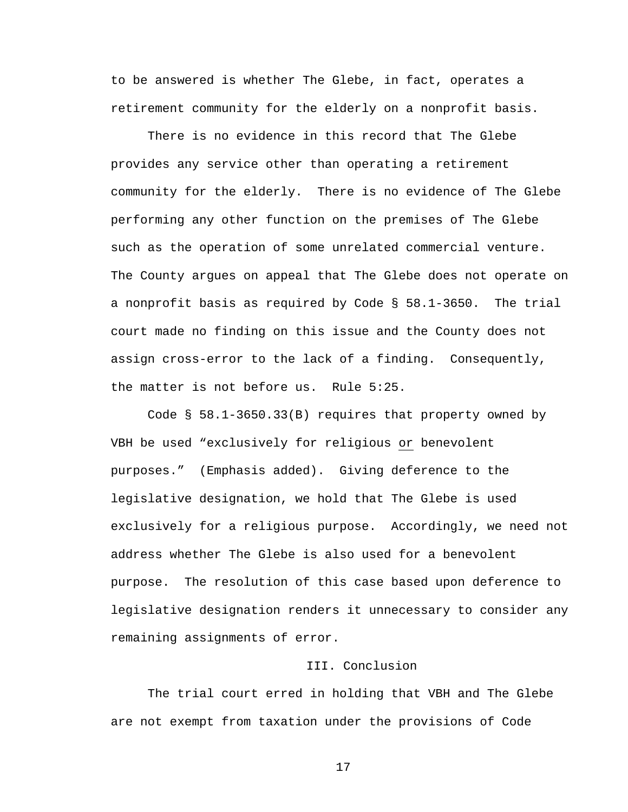to be answered is whether The Glebe, in fact, operates a retirement community for the elderly on a nonprofit basis.

There is no evidence in this record that The Glebe provides any service other than operating a retirement community for the elderly. There is no evidence of The Glebe performing any other function on the premises of The Glebe such as the operation of some unrelated commercial venture. The County argues on appeal that The Glebe does not operate on a nonprofit basis as required by Code § 58.1-3650. The trial court made no finding on this issue and the County does not assign cross-error to the lack of a finding. Consequently, the matter is not before us. Rule 5:25.

 Code § 58.1-3650.33(B) requires that property owned by VBH be used "exclusively for religious or benevolent purposes." (Emphasis added). Giving deference to the legislative designation, we hold that The Glebe is used exclusively for a religious purpose. Accordingly, we need not address whether The Glebe is also used for a benevolent purpose. The resolution of this case based upon deference to legislative designation renders it unnecessary to consider any remaining assignments of error.

## III. Conclusion

The trial court erred in holding that VBH and The Glebe are not exempt from taxation under the provisions of Code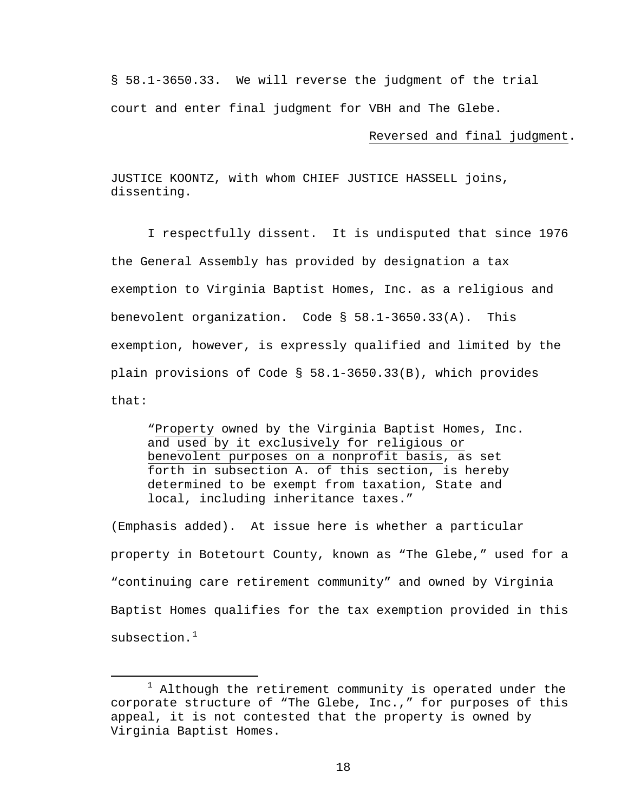§ 58.1-3650.33. We will reverse the judgment of the trial court and enter final judgment for VBH and The Glebe.

## Reversed and final judgment.

JUSTICE KOONTZ, with whom CHIEF JUSTICE HASSELL joins, dissenting.

 I respectfully dissent. It is undisputed that since 1976 the General Assembly has provided by designation a tax exemption to Virginia Baptist Homes, Inc. as a religious and benevolent organization. Code § 58.1-3650.33(A). This exemption, however, is expressly qualified and limited by the plain provisions of Code § 58.1-3650.33(B), which provides that:

"Property owned by the Virginia Baptist Homes, Inc. and used by it exclusively for religious or benevolent purposes on a nonprofit basis, as set forth in subsection A. of this section, is hereby determined to be exempt from taxation, State and local, including inheritance taxes."

(Emphasis added). At issue here is whether a particular property in Botetourt County, known as "The Glebe," used for a "continuing care retirement community" and owned by Virginia Baptist Homes qualifies for the tax exemption provided in this  $subsection.$ <sup>[1](#page-17-0)</sup>

<span id="page-17-0"></span> $\begin{array}{c}\n\hline\n\hline\n\hline\n\hline\n\hline\n\end{array}$  $1$  Although the retirement community is operated under the corporate structure of "The Glebe, Inc.," for purposes of this appeal, it is not contested that the property is owned by Virginia Baptist Homes.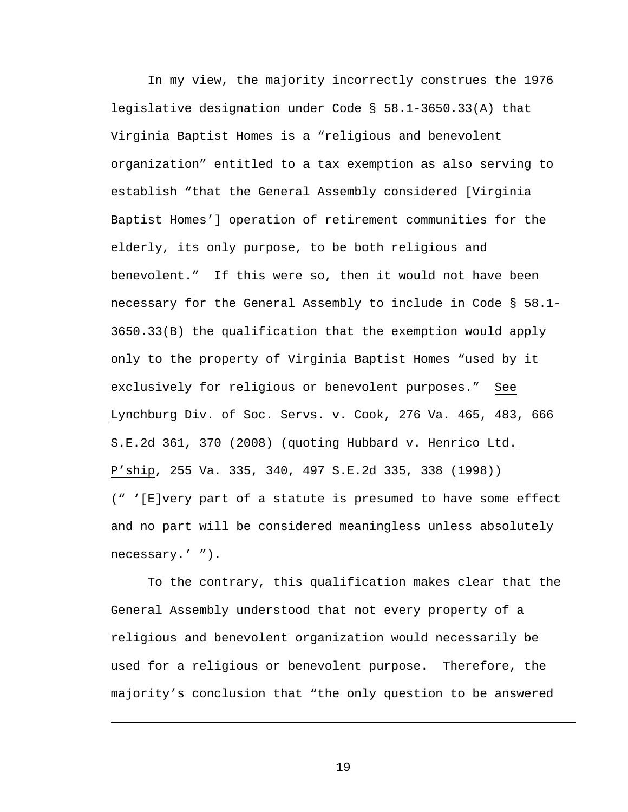In my view, the majority incorrectly construes the 1976 legislative designation under Code § 58.1-3650.33(A) that Virginia Baptist Homes is a "religious and benevolent organization" entitled to a tax exemption as also serving to establish "that the General Assembly considered [Virginia Baptist Homes'] operation of retirement communities for the elderly, its only purpose, to be both religious and benevolent." If this were so, then it would not have been necessary for the General Assembly to include in Code § 58.1- 3650.33(B) the qualification that the exemption would apply only to the property of Virginia Baptist Homes "used by it exclusively for religious or benevolent purposes." See Lynchburg Div. of Soc. Servs. v. Cook, 276 Va. 465, 483, 666 S.E.2d 361, 370 (2008) (quoting Hubbard v. Henrico Ltd. P'ship, 255 Va. 335, 340, 497 S.E.2d 335, 338 (1998)) (" '[E]very part of a statute is presumed to have some effect and no part will be considered meaningless unless absolutely necessary.' ").

 To the contrary, this qualification makes clear that the General Assembly understood that not every property of a religious and benevolent organization would necessarily be used for a religious or benevolent purpose. Therefore, the majority's conclusion that "the only question to be answered

i<br>Li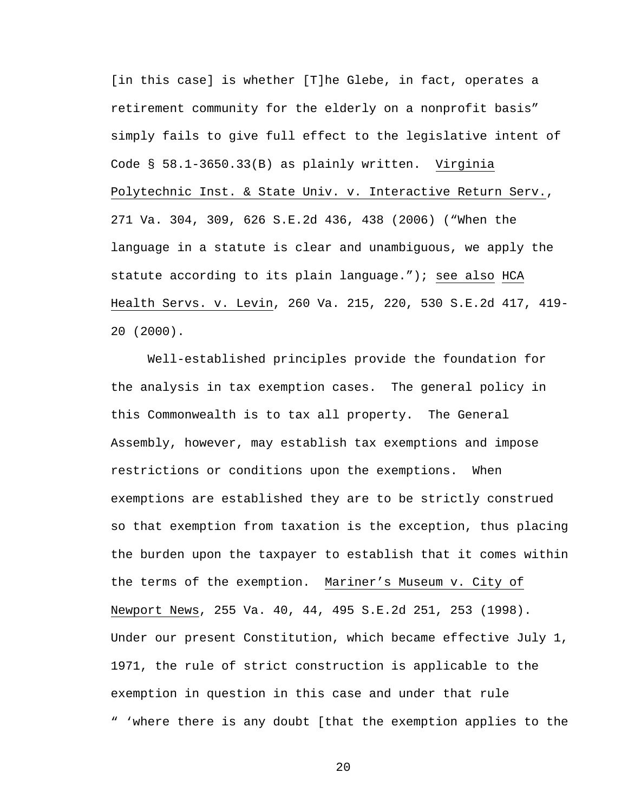[in this case] is whether [T]he Glebe, in fact, operates a retirement community for the elderly on a nonprofit basis" simply fails to give full effect to the legislative intent of Code § 58.1-3650.33(B) as plainly written. Virginia Polytechnic Inst. & State Univ. v. Interactive Return Serv., 271 Va. 304, 309, 626 S.E.2d 436, 438 (2006) ("When the language in a statute is clear and unambiguous, we apply the statute according to its plain language."); see also HCA Health Servs. v. Levin, 260 Va. 215, 220, 530 S.E.2d 417, 419- 20 (2000).

 Well-established principles provide the foundation for the analysis in tax exemption cases. The general policy in this Commonwealth is to tax all property. The General Assembly, however, may establish tax exemptions and impose restrictions or conditions upon the exemptions. When exemptions are established they are to be strictly construed so that exemption from taxation is the exception, thus placing the burden upon the taxpayer to establish that it comes within the terms of the exemption. Mariner's Museum v. City of Newport News, 255 Va. 40, 44, 495 S.E.2d 251, 253 (1998). Under our present Constitution, which became effective July 1, 1971, the rule of strict construction is applicable to the exemption in question in this case and under that rule " 'where there is any doubt [that the exemption applies to the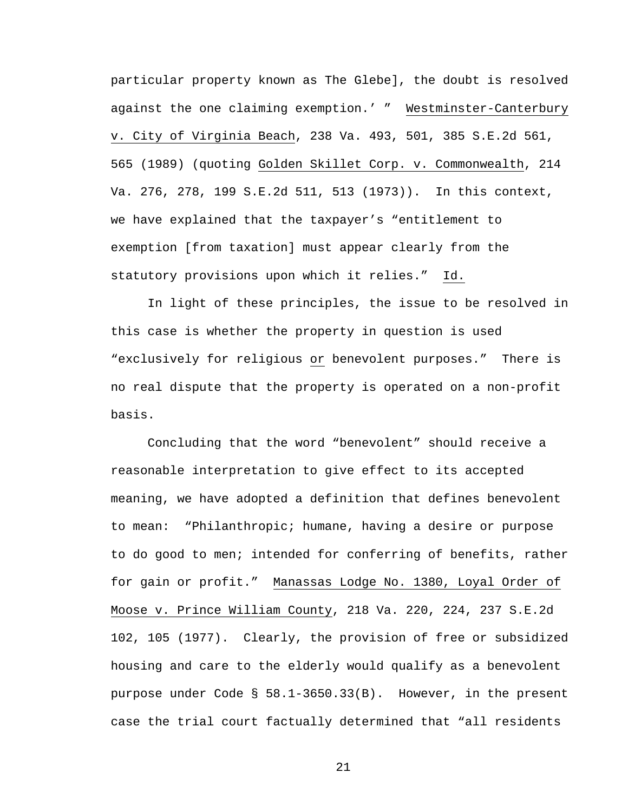particular property known as The Glebe], the doubt is resolved against the one claiming exemption.' " Westminster-Canterbury v. City of Virginia Beach, 238 Va. 493, 501, 385 S.E.2d 561, 565 (1989) (quoting Golden Skillet Corp. v. Commonwealth, 214 Va. 276, 278, 199 S.E.2d 511, 513 (1973)). In this context, we have explained that the taxpayer's "entitlement to exemption [from taxation] must appear clearly from the statutory provisions upon which it relies." Id.

 In light of these principles, the issue to be resolved in this case is whether the property in question is used "exclusively for religious or benevolent purposes." There is no real dispute that the property is operated on a non-profit basis.

 Concluding that the word "benevolent" should receive a reasonable interpretation to give effect to its accepted meaning, we have adopted a definition that defines benevolent to mean: "Philanthropic; humane, having a desire or purpose to do good to men; intended for conferring of benefits, rather for gain or profit." Manassas Lodge No. 1380, Loyal Order of Moose v. Prince William County, 218 Va. 220, 224, 237 S.E.2d 102, 105 (1977). Clearly, the provision of free or subsidized housing and care to the elderly would qualify as a benevolent purpose under Code § 58.1-3650.33(B). However, in the present case the trial court factually determined that "all residents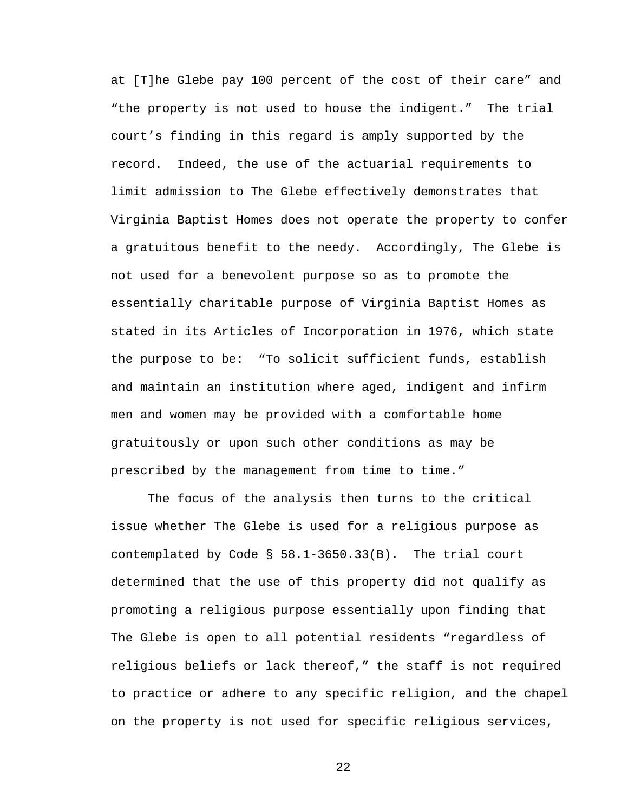at [T]he Glebe pay 100 percent of the cost of their care" and "the property is not used to house the indigent." The trial court's finding in this regard is amply supported by the record. Indeed, the use of the actuarial requirements to limit admission to The Glebe effectively demonstrates that Virginia Baptist Homes does not operate the property to confer a gratuitous benefit to the needy. Accordingly, The Glebe is not used for a benevolent purpose so as to promote the essentially charitable purpose of Virginia Baptist Homes as stated in its Articles of Incorporation in 1976, which state the purpose to be: "To solicit sufficient funds, establish and maintain an institution where aged, indigent and infirm men and women may be provided with a comfortable home gratuitously or upon such other conditions as may be prescribed by the management from time to time."

 The focus of the analysis then turns to the critical issue whether The Glebe is used for a religious purpose as contemplated by Code § 58.1-3650.33(B). The trial court determined that the use of this property did not qualify as promoting a religious purpose essentially upon finding that The Glebe is open to all potential residents "regardless of religious beliefs or lack thereof," the staff is not required to practice or adhere to any specific religion, and the chapel on the property is not used for specific religious services,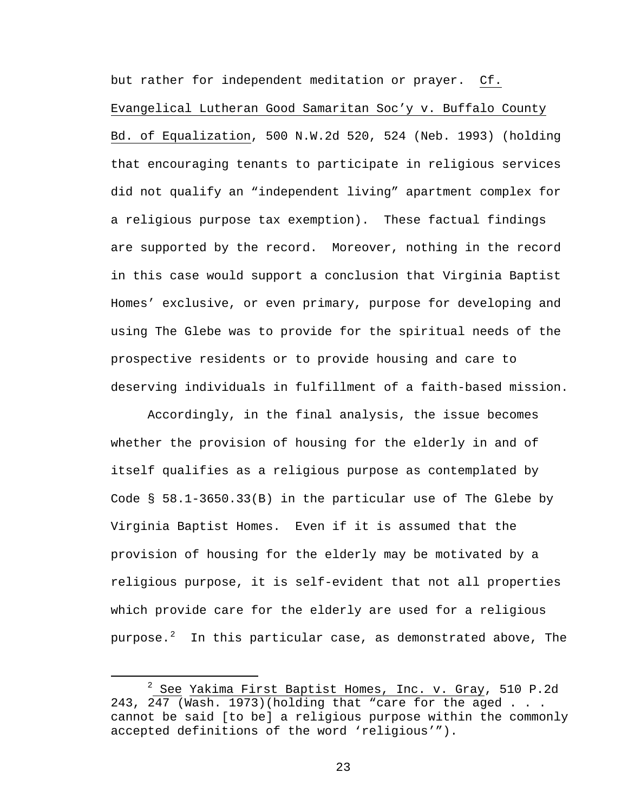but rather for independent meditation or prayer. Cf. Evangelical Lutheran Good Samaritan Soc'y v. Buffalo County Bd. of Equalization, 500 N.W.2d 520, 524 (Neb. 1993) (holding that encouraging tenants to participate in religious services did not qualify an "independent living" apartment complex for a religious purpose tax exemption). These factual findings are supported by the record. Moreover, nothing in the record in this case would support a conclusion that Virginia Baptist Homes' exclusive, or even primary, purpose for developing and using The Glebe was to provide for the spiritual needs of the prospective residents or to provide housing and care to deserving individuals in fulfillment of a faith-based mission.

 Accordingly, in the final analysis, the issue becomes whether the provision of housing for the elderly in and of itself qualifies as a religious purpose as contemplated by Code § 58.1-3650.33(B) in the particular use of The Glebe by Virginia Baptist Homes. Even if it is assumed that the provision of housing for the elderly may be motivated by a religious purpose, it is self-evident that not all properties which provide care for the elderly are used for a religious purpose. $^2$  $^2$  In this particular case, as demonstrated above, The

<span id="page-22-0"></span> $\overline{\phantom{a}}$  $2$  See Yakima First Baptist Homes, Inc. v. Gray, 510 P.2d 243, 247 (Wash. 1973)(holding that "care for the aged  $\ldots$ . cannot be said [to be] a religious purpose within the commonly accepted definitions of the word 'religious'").